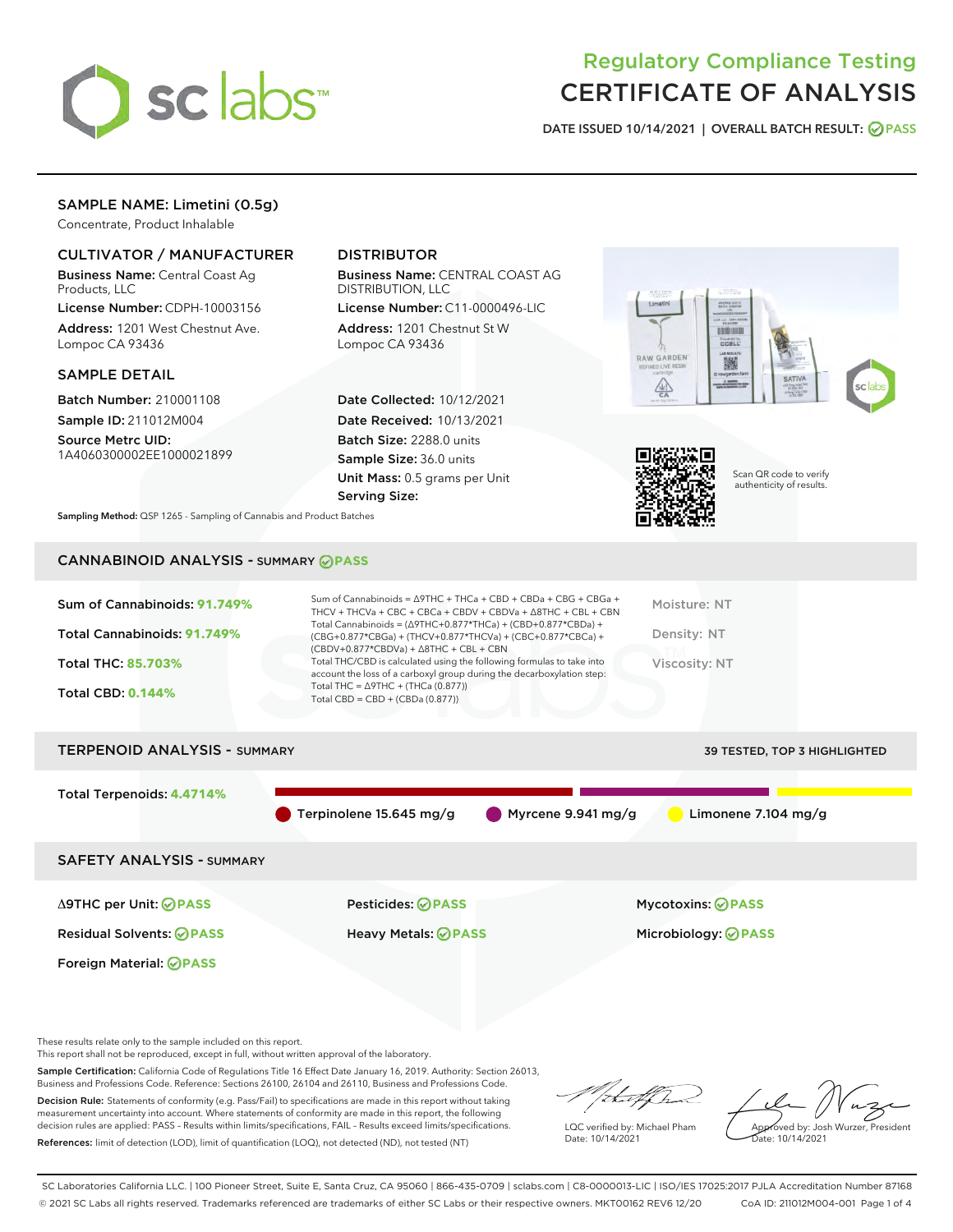

# Regulatory Compliance Testing CERTIFICATE OF ANALYSIS

DATE ISSUED 10/14/2021 | OVERALL BATCH RESULT: @ PASS

# SAMPLE NAME: Limetini (0.5g)

Concentrate, Product Inhalable

## CULTIVATOR / MANUFACTURER

Business Name: Central Coast Ag Products, LLC

License Number: CDPH-10003156 Address: 1201 West Chestnut Ave. Lompoc CA 93436

#### SAMPLE DETAIL

Batch Number: 210001108 Sample ID: 211012M004

Source Metrc UID: 1A4060300002EE1000021899

# DISTRIBUTOR

Business Name: CENTRAL COAST AG DISTRIBUTION, LLC

License Number: C11-0000496-LIC Address: 1201 Chestnut St W Lompoc CA 93436

Date Collected: 10/12/2021 Date Received: 10/13/2021 Batch Size: 2288.0 units Sample Size: 36.0 units Unit Mass: 0.5 grams per Unit Serving Size:





Scan QR code to verify authenticity of results.

Sampling Method: QSP 1265 - Sampling of Cannabis and Product Batches

# CANNABINOID ANALYSIS - SUMMARY **PASS**

| Sum of Cannabinoids: 91.749%<br>Total Cannabinoids: 91.749%<br><b>Total THC: 85.703%</b><br><b>Total CBD: 0.144%</b> | Sum of Cannabinoids = $\triangle$ 9THC + THCa + CBD + CBDa + CBG + CBGa +<br>THCV + THCVa + CBC + CBCa + CBDV + CBDVa + $\Delta$ 8THC + CBL + CBN<br>Total Cannabinoids = $(\Delta$ 9THC+0.877*THCa) + (CBD+0.877*CBDa) +<br>(CBG+0.877*CBGa) + (THCV+0.877*THCVa) + (CBC+0.877*CBCa) +<br>$(CBDV+0.877*CBDVa) + \Delta 8THC + CBL + CBN$<br>Total THC/CBD is calculated using the following formulas to take into<br>account the loss of a carboxyl group during the decarboxylation step:<br>Total THC = $\triangle$ 9THC + (THCa (0.877))<br>Total CBD = $CBD + (CBDa (0.877))$ | Moisture: NT<br>Density: NT<br>Viscosity: NT |
|----------------------------------------------------------------------------------------------------------------------|------------------------------------------------------------------------------------------------------------------------------------------------------------------------------------------------------------------------------------------------------------------------------------------------------------------------------------------------------------------------------------------------------------------------------------------------------------------------------------------------------------------------------------------------------------------------------------|----------------------------------------------|
| <b>TERPENOID ANALYSIS - SUMMARY</b>                                                                                  |                                                                                                                                                                                                                                                                                                                                                                                                                                                                                                                                                                                    | <b>39 TESTED, TOP 3 HIGHLIGHTED</b>          |

Total Terpenoids: **4.4714%** Terpinolene 15.645 mg/g Myrcene 9.941 mg/g Limonene 7.104 mg/g SAFETY ANALYSIS - SUMMARY

Foreign Material: **PASS**

Δ9THC per Unit: **PASS** Pesticides: **PASS** Mycotoxins: **PASS**

Residual Solvents: **PASS** Heavy Metals: **PASS** Microbiology: **PASS**

These results relate only to the sample included on this report.

This report shall not be reproduced, except in full, without written approval of the laboratory.

Sample Certification: California Code of Regulations Title 16 Effect Date January 16, 2019. Authority: Section 26013, Business and Professions Code. Reference: Sections 26100, 26104 and 26110, Business and Professions Code.

Decision Rule: Statements of conformity (e.g. Pass/Fail) to specifications are made in this report without taking measurement uncertainty into account. Where statements of conformity are made in this report, the following decision rules are applied: PASS – Results within limits/specifications, FAIL – Results exceed limits/specifications. References: limit of detection (LOD), limit of quantification (LOQ), not detected (ND), not tested (NT)

:t=4fh

LQC verified by: Michael Pham Date: 10/14/2021

Approved by: Josh Wurzer, President ate: 10/14/2021

SC Laboratories California LLC. | 100 Pioneer Street, Suite E, Santa Cruz, CA 95060 | 866-435-0709 | sclabs.com | C8-0000013-LIC | ISO/IES 17025:2017 PJLA Accreditation Number 87168 © 2021 SC Labs all rights reserved. Trademarks referenced are trademarks of either SC Labs or their respective owners. MKT00162 REV6 12/20 CoA ID: 211012M004-001 Page 1 of 4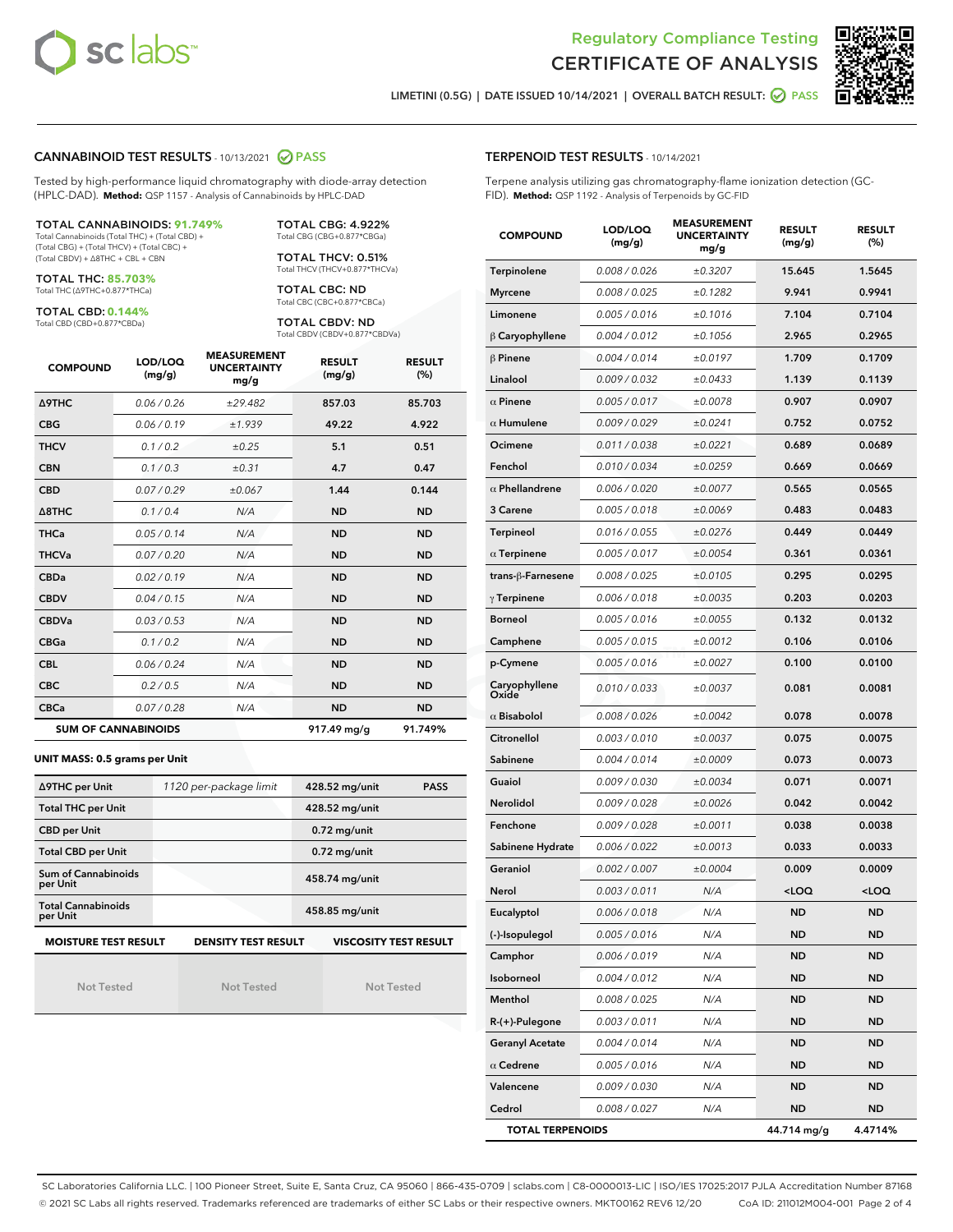



LIMETINI (0.5G) | DATE ISSUED 10/14/2021 | OVERALL BATCH RESULT: 2 PASS

#### CANNABINOID TEST RESULTS - 10/13/2021 2 PASS

Tested by high-performance liquid chromatography with diode-array detection (HPLC-DAD). **Method:** QSP 1157 - Analysis of Cannabinoids by HPLC-DAD

#### TOTAL CANNABINOIDS: **91.749%**

Total Cannabinoids (Total THC) + (Total CBD) + (Total CBG) + (Total THCV) + (Total CBC) + (Total CBDV) + ∆8THC + CBL + CBN

TOTAL THC: **85.703%** Total THC (∆9THC+0.877\*THCa)

TOTAL CBD: **0.144%**

Total CBD (CBD+0.877\*CBDa)

TOTAL CBG: 4.922% Total CBG (CBG+0.877\*CBGa)

TOTAL THCV: 0.51% Total THCV (THCV+0.877\*THCVa)

TOTAL CBC: ND Total CBC (CBC+0.877\*CBCa)

TOTAL CBDV: ND Total CBDV (CBDV+0.877\*CBDVa)

| <b>COMPOUND</b>            | LOD/LOQ<br>(mg/g) | <b>MEASUREMENT</b><br><b>UNCERTAINTY</b><br>mg/g | <b>RESULT</b><br>(mg/g) | <b>RESULT</b><br>(%) |
|----------------------------|-------------------|--------------------------------------------------|-------------------------|----------------------|
| <b>A9THC</b>               | 0.06/0.26         | ±29.482                                          | 857.03                  | 85.703               |
| <b>CBG</b>                 | 0.06/0.19         | ±1.939                                           | 49.22                   | 4.922                |
| <b>THCV</b>                | 0.1/0.2           | ±0.25                                            | 5.1                     | 0.51                 |
| <b>CBN</b>                 | 0.1/0.3           | ±0.31                                            | 4.7                     | 0.47                 |
| <b>CBD</b>                 | 0.07/0.29         | ±0.067                                           | 1.44                    | 0.144                |
| $\triangle$ 8THC           | 0.1 / 0.4         | N/A                                              | <b>ND</b>               | <b>ND</b>            |
| <b>THCa</b>                | 0.05/0.14         | N/A                                              | <b>ND</b>               | <b>ND</b>            |
| <b>THCVa</b>               | 0.07 / 0.20       | N/A                                              | <b>ND</b>               | <b>ND</b>            |
| <b>CBDa</b>                | 0.02/0.19         | N/A                                              | <b>ND</b>               | <b>ND</b>            |
| <b>CBDV</b>                | 0.04 / 0.15       | N/A                                              | <b>ND</b>               | <b>ND</b>            |
| <b>CBDVa</b>               | 0.03/0.53         | N/A                                              | <b>ND</b>               | <b>ND</b>            |
| <b>CBGa</b>                | 0.1/0.2           | N/A                                              | <b>ND</b>               | <b>ND</b>            |
| <b>CBL</b>                 | 0.06 / 0.24       | N/A                                              | <b>ND</b>               | <b>ND</b>            |
| <b>CBC</b>                 | 0.2 / 0.5         | N/A                                              | <b>ND</b>               | <b>ND</b>            |
| <b>CBCa</b>                | 0.07 / 0.28       | N/A                                              | <b>ND</b>               | <b>ND</b>            |
| <b>SUM OF CANNABINOIDS</b> |                   |                                                  | 917.49 mg/g             | 91.749%              |

#### **UNIT MASS: 0.5 grams per Unit**

| ∆9THC per Unit                                                                            | 1120 per-package limit | 428.52 mg/unit<br><b>PASS</b> |  |  |  |
|-------------------------------------------------------------------------------------------|------------------------|-------------------------------|--|--|--|
| <b>Total THC per Unit</b>                                                                 |                        | 428.52 mg/unit                |  |  |  |
| <b>CBD per Unit</b>                                                                       |                        | $0.72$ mg/unit                |  |  |  |
| <b>Total CBD per Unit</b>                                                                 |                        | $0.72$ mg/unit                |  |  |  |
| Sum of Cannabinoids<br>per Unit                                                           |                        | 458.74 mg/unit                |  |  |  |
| <b>Total Cannabinoids</b><br>per Unit                                                     |                        | 458.85 mg/unit                |  |  |  |
| <b>MOISTURE TEST RESULT</b><br><b>VISCOSITY TEST RESULT</b><br><b>DENSITY TEST RESULT</b> |                        |                               |  |  |  |

Not Tested

Not Tested

Not Tested

#### TERPENOID TEST RESULTS - 10/14/2021

Terpene analysis utilizing gas chromatography-flame ionization detection (GC-FID). **Method:** QSP 1192 - Analysis of Terpenoids by GC-FID

| <b>COMPOUND</b>         | LOD/LOQ<br>(mg/g) | <b>MEASUREMENT</b><br><b>UNCERTAINTY</b><br>mg/g | <b>RESULT</b><br>(mg/g)                         | <b>RESULT</b><br>$(\%)$ |
|-------------------------|-------------------|--------------------------------------------------|-------------------------------------------------|-------------------------|
| Terpinolene             | 0.008 / 0.026     | ±0.3207                                          | 15.645                                          | 1.5645                  |
| <b>Myrcene</b>          | 0.008 / 0.025     | ±0.1282                                          | 9.941                                           | 0.9941                  |
| Limonene                | 0.005 / 0.016     | ±0.1016                                          | 7.104                                           | 0.7104                  |
| $\beta$ Caryophyllene   | 0.004 / 0.012     | ±0.1056                                          | 2.965                                           | 0.2965                  |
| $\beta$ Pinene          | 0.004 / 0.014     | ±0.0197                                          | 1.709                                           | 0.1709                  |
| Linalool                | 0.009 / 0.032     | ±0.0433                                          | 1.139                                           | 0.1139                  |
| $\alpha$ Pinene         | 0.005 / 0.017     | ±0.0078                                          | 0.907                                           | 0.0907                  |
| $\alpha$ Humulene       | 0.009/0.029       | ±0.0241                                          | 0.752                                           | 0.0752                  |
| Ocimene                 | 0.011 / 0.038     | ±0.0221                                          | 0.689                                           | 0.0689                  |
| Fenchol                 | 0.010 / 0.034     | ±0.0259                                          | 0.669                                           | 0.0669                  |
| $\alpha$ Phellandrene   | 0.006 / 0.020     | ±0.0077                                          | 0.565                                           | 0.0565                  |
| 3 Carene                | 0.005 / 0.018     | ±0.0069                                          | 0.483                                           | 0.0483                  |
| <b>Terpineol</b>        | 0.016 / 0.055     | ±0.0276                                          | 0.449                                           | 0.0449                  |
| $\alpha$ Terpinene      | 0.005 / 0.017     | ±0.0054                                          | 0.361                                           | 0.0361                  |
| trans-ß-Farnesene       | 0.008 / 0.025     | ±0.0105                                          | 0.295                                           | 0.0295                  |
| $\gamma$ Terpinene      | 0.006 / 0.018     | ±0.0035                                          | 0.203                                           | 0.0203                  |
| <b>Borneol</b>          | 0.005 / 0.016     | ±0.0055                                          | 0.132                                           | 0.0132                  |
| Camphene                | 0.005 / 0.015     | ±0.0012                                          | 0.106                                           | 0.0106                  |
| p-Cymene                | 0.005 / 0.016     | ±0.0027                                          | 0.100                                           | 0.0100                  |
| Caryophyllene<br>Oxide  | 0.010 / 0.033     | ±0.0037                                          | 0.081                                           | 0.0081                  |
| $\alpha$ Bisabolol      | 0.008 / 0.026     | ±0.0042                                          | 0.078                                           | 0.0078                  |
| Citronellol             | 0.003 / 0.010     | ±0.0037                                          | 0.075                                           | 0.0075                  |
| Sabinene                | 0.004 / 0.014     | ±0.0009                                          | 0.073                                           | 0.0073                  |
| Guaiol                  | 0.009 / 0.030     | ±0.0034                                          | 0.071                                           | 0.0071                  |
| Nerolidol               | 0.009 / 0.028     | ±0.0026                                          | 0.042                                           | 0.0042                  |
| Fenchone                | 0.009 / 0.028     | ±0.0011                                          | 0.038                                           | 0.0038                  |
| Sabinene Hydrate        | 0.006 / 0.022     | ±0.0013                                          | 0.033                                           | 0.0033                  |
| Geraniol                | 0.002 / 0.007     | ±0.0004                                          | 0.009                                           | 0.0009                  |
| Nerol                   | 0.003 / 0.011     | N/A                                              | <loq< th=""><th><loq< th=""></loq<></th></loq<> | <loq< th=""></loq<>     |
| Eucalyptol              | 0.006 / 0.018     | N/A                                              | <b>ND</b>                                       | ND                      |
| (-)-Isopulegol          | 0.005 / 0.016     | N/A                                              | ND                                              | ND                      |
| Camphor                 | 0.006 / 0.019     | N/A                                              | ND                                              | ND                      |
| Isoborneol              | 0.004 / 0.012     | N/A                                              | <b>ND</b>                                       | ND                      |
| Menthol                 | 0.008 / 0.025     | N/A                                              | ND                                              | ND                      |
| $R-(+)$ -Pulegone       | 0.003 / 0.011     | N/A                                              | ND                                              | ND                      |
| <b>Geranyl Acetate</b>  | 0.004 / 0.014     | N/A                                              | ND                                              | ND                      |
| $\alpha$ Cedrene        | 0.005 / 0.016     | N/A                                              | ND                                              | ND                      |
| Valencene               | 0.009 / 0.030     | N/A                                              | ND                                              | ND                      |
| Cedrol                  | 0.008 / 0.027     | N/A                                              | <b>ND</b>                                       | ND                      |
| <b>TOTAL TERPENOIDS</b> |                   |                                                  | 44.714 mg/g                                     | 4.4714%                 |

SC Laboratories California LLC. | 100 Pioneer Street, Suite E, Santa Cruz, CA 95060 | 866-435-0709 | sclabs.com | C8-0000013-LIC | ISO/IES 17025:2017 PJLA Accreditation Number 87168 © 2021 SC Labs all rights reserved. Trademarks referenced are trademarks of either SC Labs or their respective owners. MKT00162 REV6 12/20 CoA ID: 211012M004-001 Page 2 of 4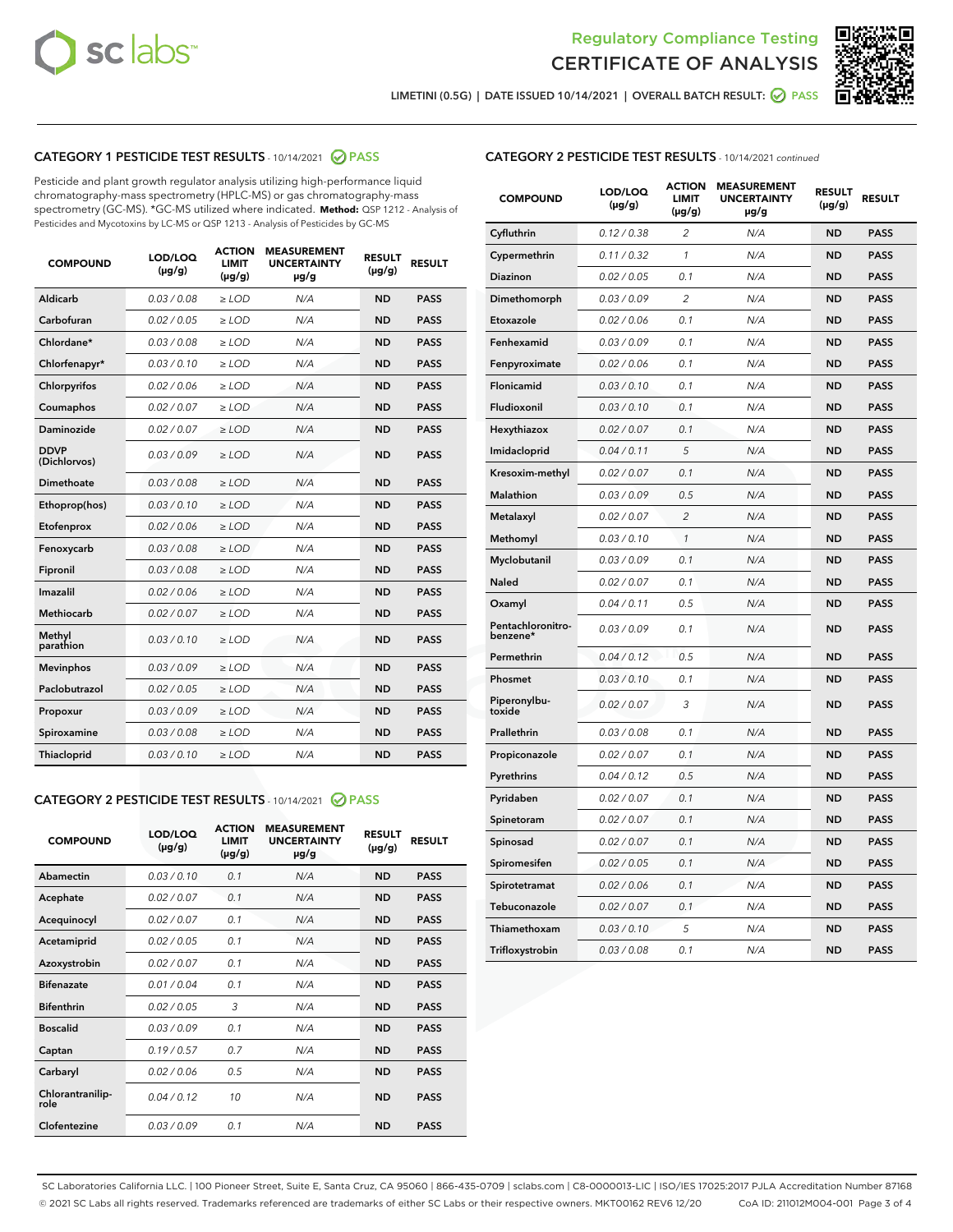



LIMETINI (0.5G) | DATE ISSUED 10/14/2021 | OVERALL BATCH RESULT: 2 PASS

# CATEGORY 1 PESTICIDE TEST RESULTS - 10/14/2021 2 PASS

Pesticide and plant growth regulator analysis utilizing high-performance liquid chromatography-mass spectrometry (HPLC-MS) or gas chromatography-mass spectrometry (GC-MS). \*GC-MS utilized where indicated. **Method:** QSP 1212 - Analysis of Pesticides and Mycotoxins by LC-MS or QSP 1213 - Analysis of Pesticides by GC-MS

| <b>COMPOUND</b>             | LOD/LOQ<br>$(\mu g/g)$ | <b>ACTION</b><br><b>LIMIT</b><br>$(\mu g/g)$ | <b>MEASUREMENT</b><br><b>UNCERTAINTY</b><br>$\mu$ g/g | <b>RESULT</b><br>$(\mu g/g)$ | <b>RESULT</b> |
|-----------------------------|------------------------|----------------------------------------------|-------------------------------------------------------|------------------------------|---------------|
| Aldicarb                    | 0.03 / 0.08            | $\ge$ LOD                                    | N/A                                                   | <b>ND</b>                    | <b>PASS</b>   |
| Carbofuran                  | 0.02 / 0.05            | $\ge$ LOD                                    | N/A                                                   | <b>ND</b>                    | <b>PASS</b>   |
| Chlordane*                  | 0.03 / 0.08            | $\ge$ LOD                                    | N/A                                                   | <b>ND</b>                    | <b>PASS</b>   |
| Chlorfenapyr*               | 0.03/0.10              | $\ge$ LOD                                    | N/A                                                   | <b>ND</b>                    | <b>PASS</b>   |
| Chlorpyrifos                | 0.02 / 0.06            | $\ge$ LOD                                    | N/A                                                   | <b>ND</b>                    | <b>PASS</b>   |
| Coumaphos                   | 0.02 / 0.07            | $\ge$ LOD                                    | N/A                                                   | <b>ND</b>                    | <b>PASS</b>   |
| Daminozide                  | 0.02 / 0.07            | $\ge$ LOD                                    | N/A                                                   | <b>ND</b>                    | <b>PASS</b>   |
| <b>DDVP</b><br>(Dichlorvos) | 0.03/0.09              | $>$ LOD                                      | N/A                                                   | <b>ND</b>                    | <b>PASS</b>   |
| Dimethoate                  | 0.03 / 0.08            | $\ge$ LOD                                    | N/A                                                   | <b>ND</b>                    | <b>PASS</b>   |
| Ethoprop(hos)               | 0.03/0.10              | $>$ LOD                                      | N/A                                                   | <b>ND</b>                    | <b>PASS</b>   |
| Etofenprox                  | 0.02 / 0.06            | $\ge$ LOD                                    | N/A                                                   | <b>ND</b>                    | <b>PASS</b>   |
| Fenoxycarb                  | 0.03 / 0.08            | $\ge$ LOD                                    | N/A                                                   | <b>ND</b>                    | <b>PASS</b>   |
| Fipronil                    | 0.03 / 0.08            | $\ge$ LOD                                    | N/A                                                   | <b>ND</b>                    | <b>PASS</b>   |
| Imazalil                    | 0.02 / 0.06            | $>$ LOD                                      | N/A                                                   | <b>ND</b>                    | <b>PASS</b>   |
| <b>Methiocarb</b>           | 0.02 / 0.07            | $\ge$ LOD                                    | N/A                                                   | <b>ND</b>                    | <b>PASS</b>   |
| Methyl<br>parathion         | 0.03/0.10              | $\ge$ LOD                                    | N/A                                                   | <b>ND</b>                    | <b>PASS</b>   |
| <b>Mevinphos</b>            | 0.03/0.09              | $\ge$ LOD                                    | N/A                                                   | <b>ND</b>                    | <b>PASS</b>   |
| Paclobutrazol               | 0.02 / 0.05            | $>$ LOD                                      | N/A                                                   | <b>ND</b>                    | <b>PASS</b>   |
| Propoxur                    | 0.03/0.09              | $\ge$ LOD                                    | N/A                                                   | <b>ND</b>                    | <b>PASS</b>   |
| Spiroxamine                 | 0.03 / 0.08            | $\ge$ LOD                                    | N/A                                                   | <b>ND</b>                    | <b>PASS</b>   |
| Thiacloprid                 | 0.03/0.10              | $\ge$ LOD                                    | N/A                                                   | <b>ND</b>                    | <b>PASS</b>   |

#### CATEGORY 2 PESTICIDE TEST RESULTS - 10/14/2021 @ PASS

| <b>COMPOUND</b>          | LOD/LOO<br>$(\mu g/g)$ | <b>ACTION</b><br>LIMIT<br>$(\mu g/g)$ | <b>MEASUREMENT</b><br><b>UNCERTAINTY</b><br>µg/g | <b>RESULT</b><br>$(\mu g/g)$ | <b>RESULT</b> |  |
|--------------------------|------------------------|---------------------------------------|--------------------------------------------------|------------------------------|---------------|--|
| Abamectin                | 0.03/0.10              | 0.1                                   | N/A                                              | <b>ND</b>                    | <b>PASS</b>   |  |
| Acephate                 | 0.02/0.07              | 0.1                                   | N/A                                              | <b>ND</b>                    | <b>PASS</b>   |  |
| Acequinocyl              | 0.02/0.07              | 0.1                                   | N/A                                              | <b>ND</b>                    | <b>PASS</b>   |  |
| Acetamiprid              | 0.02 / 0.05            | 0.1                                   | N/A                                              | <b>ND</b>                    | <b>PASS</b>   |  |
| Azoxystrobin             | 0.02/0.07              | 0.1                                   | N/A                                              | <b>ND</b>                    | <b>PASS</b>   |  |
| <b>Bifenazate</b>        | 0.01 / 0.04            | 0.1                                   | N/A                                              | <b>ND</b>                    | <b>PASS</b>   |  |
| <b>Bifenthrin</b>        | 0.02 / 0.05            | 3                                     | N/A                                              | <b>ND</b>                    | <b>PASS</b>   |  |
| <b>Boscalid</b>          | 0.03/0.09              | 0.1                                   | N/A                                              | <b>ND</b>                    | <b>PASS</b>   |  |
| Captan                   | 0.19/0.57              | 0.7                                   | N/A                                              | <b>ND</b>                    | <b>PASS</b>   |  |
| Carbaryl                 | 0.02/0.06              | 0.5                                   | N/A                                              | <b>ND</b>                    | <b>PASS</b>   |  |
| Chlorantranilip-<br>role | 0.04/0.12              | 10                                    | N/A                                              | <b>ND</b>                    | <b>PASS</b>   |  |
| Clofentezine             | 0.03/0.09              | 0.1                                   | N/A                                              | <b>ND</b>                    | <b>PASS</b>   |  |

| <b>CATEGORY 2 PESTICIDE TEST RESULTS</b> - 10/14/2021 continued |  |  |
|-----------------------------------------------------------------|--|--|
|                                                                 |  |  |

| <b>COMPOUND</b>               | LOD/LOQ<br>(µg/g) | <b>ACTION</b><br><b>LIMIT</b><br>$(\mu g/g)$ | <b>MEASUREMENT</b><br><b>UNCERTAINTY</b><br>µg/g | <b>RESULT</b><br>(µg/g) | <b>RESULT</b> |
|-------------------------------|-------------------|----------------------------------------------|--------------------------------------------------|-------------------------|---------------|
| Cyfluthrin                    | 0.12 / 0.38       | 2                                            | N/A                                              | <b>ND</b>               | <b>PASS</b>   |
| Cypermethrin                  | 0.11 / 0.32       | $\mathbf{1}$                                 | N/A                                              | <b>ND</b>               | <b>PASS</b>   |
| Diazinon                      | 0.02 / 0.05       | 0.1                                          | N/A                                              | <b>ND</b>               | <b>PASS</b>   |
| Dimethomorph                  | 0.03 / 0.09       | 2                                            | N/A                                              | <b>ND</b>               | <b>PASS</b>   |
| Etoxazole                     | 0.02 / 0.06       | 0.1                                          | N/A                                              | ND                      | <b>PASS</b>   |
| Fenhexamid                    | 0.03 / 0.09       | 0.1                                          | N/A                                              | ND                      | <b>PASS</b>   |
| Fenpyroximate                 | 0.02 / 0.06       | 0.1                                          | N/A                                              | <b>ND</b>               | <b>PASS</b>   |
| <b>Flonicamid</b>             | 0.03 / 0.10       | 0.1                                          | N/A                                              | <b>ND</b>               | <b>PASS</b>   |
| Fludioxonil                   | 0.03 / 0.10       | 0.1                                          | N/A                                              | <b>ND</b>               | <b>PASS</b>   |
| Hexythiazox                   | 0.02 / 0.07       | 0.1                                          | N/A                                              | ND                      | <b>PASS</b>   |
| Imidacloprid                  | 0.04 / 0.11       | 5                                            | N/A                                              | <b>ND</b>               | <b>PASS</b>   |
| Kresoxim-methyl               | 0.02 / 0.07       | 0.1                                          | N/A                                              | ND                      | <b>PASS</b>   |
| <b>Malathion</b>              | 0.03 / 0.09       | 0.5                                          | N/A                                              | <b>ND</b>               | <b>PASS</b>   |
| Metalaxyl                     | 0.02 / 0.07       | $\overline{2}$                               | N/A                                              | <b>ND</b>               | <b>PASS</b>   |
| Methomyl                      | 0.03 / 0.10       | $\mathbf{1}$                                 | N/A                                              | <b>ND</b>               | <b>PASS</b>   |
| Myclobutanil                  | 0.03 / 0.09       | 0.1                                          | N/A                                              | <b>ND</b>               | <b>PASS</b>   |
| Naled                         | 0.02 / 0.07       | 0.1                                          | N/A                                              | ND                      | <b>PASS</b>   |
| Oxamyl                        | 0.04 / 0.11       | 0.5                                          | N/A                                              | ND                      | <b>PASS</b>   |
| Pentachloronitro-<br>benzene* | 0.03 / 0.09       | 0.1                                          | N/A                                              | <b>ND</b>               | <b>PASS</b>   |
| Permethrin                    | 0.04 / 0.12       | 0.5                                          | N/A                                              | ND                      | <b>PASS</b>   |
| Phosmet                       | 0.03 / 0.10       | 0.1                                          | N/A                                              | <b>ND</b>               | <b>PASS</b>   |
| Piperonylbu-<br>toxide        | 0.02 / 0.07       | 3                                            | N/A                                              | <b>ND</b>               | <b>PASS</b>   |
| Prallethrin                   | 0.03 / 0.08       | 0.1                                          | N/A                                              | <b>ND</b>               | <b>PASS</b>   |
| Propiconazole                 | 0.02 / 0.07       | 0.1                                          | N/A                                              | <b>ND</b>               | <b>PASS</b>   |
| Pyrethrins                    | 0.04 / 0.12       | 0.5                                          | N/A                                              | ND                      | <b>PASS</b>   |
| Pyridaben                     | 0.02 / 0.07       | 0.1                                          | N/A                                              | ND                      | <b>PASS</b>   |
| Spinetoram                    | 0.02 / 0.07       | 0.1                                          | N/A                                              | <b>ND</b>               | <b>PASS</b>   |
| Spinosad                      | 0.02 / 0.07       | 0.1                                          | N/A                                              | ND                      | <b>PASS</b>   |
| Spiromesifen                  | 0.02 / 0.05       | 0.1                                          | N/A                                              | ND                      | <b>PASS</b>   |
| Spirotetramat                 | 0.02 / 0.06       | 0.1                                          | N/A                                              | <b>ND</b>               | <b>PASS</b>   |
| Tebuconazole                  | 0.02 / 0.07       | 0.1                                          | N/A                                              | ND                      | <b>PASS</b>   |
| Thiamethoxam                  | 0.03 / 0.10       | 5                                            | N/A                                              | <b>ND</b>               | <b>PASS</b>   |
| Trifloxystrobin               | 0.03 / 0.08       | 0.1                                          | N/A                                              | <b>ND</b>               | <b>PASS</b>   |

SC Laboratories California LLC. | 100 Pioneer Street, Suite E, Santa Cruz, CA 95060 | 866-435-0709 | sclabs.com | C8-0000013-LIC | ISO/IES 17025:2017 PJLA Accreditation Number 87168 © 2021 SC Labs all rights reserved. Trademarks referenced are trademarks of either SC Labs or their respective owners. MKT00162 REV6 12/20 CoA ID: 211012M004-001 Page 3 of 4